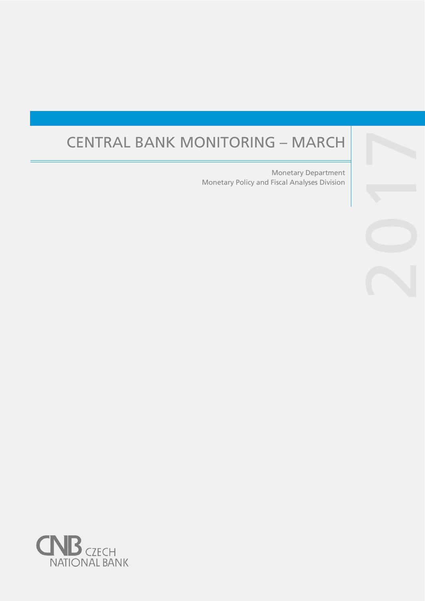# CENTRAL BANK MONITORING – MARCH

Monetary Policy and Fiscal Analyses Division Monetary Department

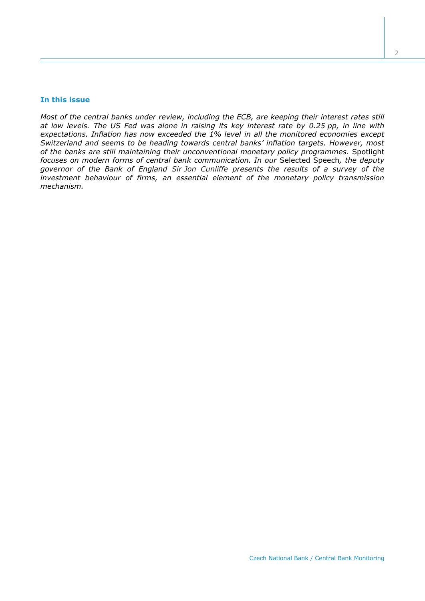#### **In this issue**

*Most of the central banks under review, including the ECB, are keeping their interest rates still at low levels. The US Fed was alone in raising its key interest rate by 0.25 pp, in line with expectations. Inflation has now exceeded the 1% level in all the monitored economies except Switzerland and seems to be heading towards central banks' inflation targets. However, most of the banks are still maintaining their unconventional monetary policy programmes.* Spotlight *focuses on modern forms of central bank communication. In our* Selected Speech*, the deputy governor of the Bank of England Sir Jon Cunliffe presents the results of a survey of the investment behaviour of firms, an essential element of the monetary policy transmission mechanism.*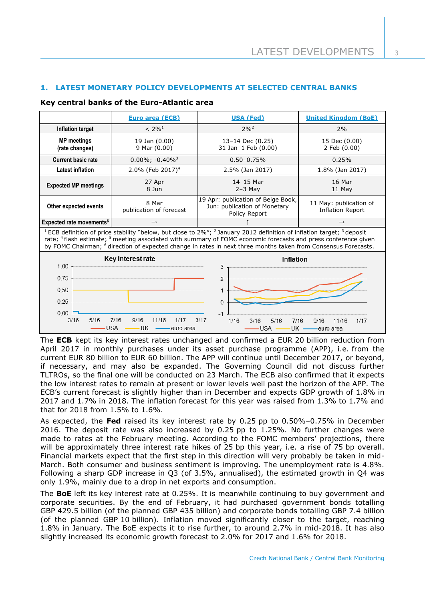# **1. LATEST MONETARY POLICY DEVELOPMENTS AT SELECTED CENTRAL BANKS**

## **Key central banks of the Euro-Atlantic area**

|                                                                                                                                                                                                                                                                                                                                                                                                                               | <b>Euro area (ECB)</b>                                             | <b>USA (Fed)</b>                                                                    | <b>United Kingdom (BoE)</b>                       |  |  |  |
|-------------------------------------------------------------------------------------------------------------------------------------------------------------------------------------------------------------------------------------------------------------------------------------------------------------------------------------------------------------------------------------------------------------------------------|--------------------------------------------------------------------|-------------------------------------------------------------------------------------|---------------------------------------------------|--|--|--|
| <b>Inflation target</b>                                                                                                                                                                                                                                                                                                                                                                                                       | $< 2\%^{1}$                                                        | $2\%^{2}$                                                                           | 2%                                                |  |  |  |
| <b>MP</b> meetings<br>(rate changes)                                                                                                                                                                                                                                                                                                                                                                                          | 19 Jan (0.00)<br>9 Mar (0.00)                                      | 13-14 Dec (0.25)<br>31 Jan-1 Feb (0.00)                                             | 15 Dec (0.00)<br>2 Feb (0.00)                     |  |  |  |
| <b>Current basic rate</b>                                                                                                                                                                                                                                                                                                                                                                                                     | $0.00\%$ ; -0.40% <sup>3</sup>                                     | $0.50 - 0.75%$                                                                      | 0.25%                                             |  |  |  |
| <b>Latest inflation</b>                                                                                                                                                                                                                                                                                                                                                                                                       | 2.0% (Feb 2017) <sup>4</sup>                                       | 2.5% (Jan 2017)                                                                     | 1.8% (Jan 2017)                                   |  |  |  |
| <b>Expected MP meetings</b>                                                                                                                                                                                                                                                                                                                                                                                                   | 27 Apr<br>8 Jun                                                    | 14-15 Mar<br>$2-3$ May                                                              | 16 Mar<br>11 May                                  |  |  |  |
| Other expected events                                                                                                                                                                                                                                                                                                                                                                                                         | 8 Mar<br>publication of forecast                                   | 19 Apr: publication of Beige Book,<br>Jun: publication of Monetary<br>Policy Report | 11 May: publication of<br><b>Inflation Report</b> |  |  |  |
| Expected rate movements <sup>6</sup>                                                                                                                                                                                                                                                                                                                                                                                          | $\rightarrow$                                                      |                                                                                     |                                                   |  |  |  |
| <sup>1</sup> ECB definition of price stability "below, but close to 2%"; <sup>2</sup> January 2012 definition of inflation target; <sup>3</sup> deposit<br>rate; <sup>4</sup> flash estimate; <sup>5</sup> meeting associated with summary of FOMC economic forecasts and press conference given<br>by FOMC Chairman; <sup>6</sup> direction of expected change in rates in next three months taken from Consensus Forecasts. |                                                                    |                                                                                     |                                                   |  |  |  |
| 1,00                                                                                                                                                                                                                                                                                                                                                                                                                          | Key interest rate                                                  | Inflation<br>3                                                                      |                                                   |  |  |  |
| 0.75<br>0,50<br>0,25<br>0,00                                                                                                                                                                                                                                                                                                                                                                                                  |                                                                    | $\overline{2}$<br>1<br>$\Omega$                                                     |                                                   |  |  |  |
| 3/16<br>5/16                                                                                                                                                                                                                                                                                                                                                                                                                  | 7/16<br>9/16<br>11/16<br>1/17<br><b>USA</b><br>– UK<br>— euro area | 3/17<br>5/16<br>7/16<br>1/16<br>3/16<br><b>USA</b><br>$UK -$                        | 11/16<br>9/16<br>1/17<br>—euro area               |  |  |  |

The **ECB** kept its key interest rates unchanged and confirmed a EUR 20 billion reduction from April 2017 in monthly purchases under its asset purchase programme (APP), i.e. from the current EUR 80 billion to EUR 60 billion. The APP will continue until December 2017, or beyond, if necessary, and may also be expanded. The Governing Council did not discuss further TLTROs, so the final one will be conducted on 23 March. The ECB also confirmed that it expects the low interest rates to remain at present or lower levels well past the horizon of the APP. The ECB's current forecast is slightly higher than in December and expects GDP growth of 1.8% in 2017 and 1.7% in 2018. The inflation forecast for this year was raised from 1.3% to 1.7% and that for 2018 from 1.5% to 1.6%.

As expected, the **Fed** raised its key interest rate by 0.25 pp to 0.50%–0.75% in December 2016. The deposit rate was also increased by 0.25 pp to 1.25%. No further changes were made to rates at the February meeting. According to the FOMC members' projections, there will be approximately three interest rate hikes of 25 bp this year, i.e. a rise of 75 bp overall. Financial markets expect that the first step in this direction will very probably be taken in mid-March. Both consumer and business sentiment is improving. The unemployment rate is 4.8%. Following a sharp GDP increase in Q3 (of 3.5%, annualised), the estimated growth in Q4 was only 1.9%, mainly due to a drop in net exports and consumption.

The **BoE** left its key interest rate at 0.25%. It is meanwhile continuing to buy government and corporate securities. By the end of February, it had purchased government bonds totalling GBP 429.5 billion (of the planned GBP 435 billion) and corporate bonds totalling GBP 7.4 billion (of the planned GBP 10 billion). Inflation moved significantly closer to the target, reaching 1.8% in January. The BoE expects it to rise further, to around 2.7% in mid-2018. It has also slightly increased its economic growth forecast to 2.0% for 2017 and 1.6% for 2018.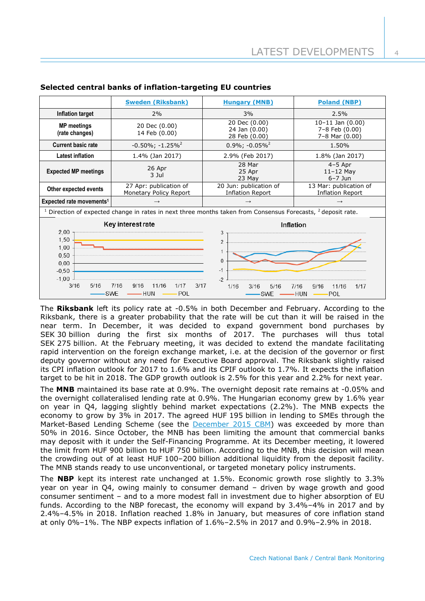|                                                                                                                       | <b>Sweden (Riksbank)</b>                                            | <b>Hungary (MNB)</b>                              | <b>Poland (NBP)</b>                                      |  |  |  |
|-----------------------------------------------------------------------------------------------------------------------|---------------------------------------------------------------------|---------------------------------------------------|----------------------------------------------------------|--|--|--|
| Inflation target                                                                                                      | 2%                                                                  | 3%                                                | 2.5%                                                     |  |  |  |
| <b>MP</b> meetings<br>(rate changes)                                                                                  | 20 Dec (0.00)<br>14 Feb (0.00)                                      | 20 Dec (0.00)<br>24 Jan (0.00)<br>28 Feb (0.00)   | $10-11$ Jan $(0.00)$<br>7-8 Feb (0.00)<br>7-8 Mar (0.00) |  |  |  |
| <b>Current basic rate</b>                                                                                             | $-0.50\%$ ; $-1.25\%$ <sup>2</sup>                                  | $0.9\%$ ; $-0.05\%$ <sup>2</sup>                  | 1.50%                                                    |  |  |  |
| <b>Latest inflation</b>                                                                                               | 1.4% (Jan 2017)                                                     | 2.9% (Feb 2017)                                   | 1.8% (Jan 2017)                                          |  |  |  |
| <b>Expected MP meetings</b>                                                                                           | 26 Apr<br>3 Jul                                                     |                                                   | $4-5$ Apr<br>$11-12$ May<br>$6-7$ Jun                    |  |  |  |
| Other expected events                                                                                                 | 27 Apr: publication of<br><b>Monetary Policy Report</b>             | 20 Jun: publication of<br><b>Inflation Report</b> | 13 Mar: publication of<br><b>Inflation Report</b>        |  |  |  |
| Expected rate movements <sup>1</sup>                                                                                  | $\rightarrow$                                                       | $\rightarrow$                                     |                                                          |  |  |  |
| Direction of expected change in rates in next three months taken from Consensus Forecasts, <sup>2</sup> deposit rate. |                                                                     |                                                   |                                                          |  |  |  |
| 2,00<br>1,50<br>1,00<br>0.50<br>0,00<br>$-0.50$                                                                       | Key interest rate                                                   | 3<br>$\overline{2}$<br>1<br>$\Omega$<br>$-1$      | <b>Inflation</b>                                         |  |  |  |
| $-1,00$<br>3/16<br>5/16                                                                                               | 11/16<br>3/17<br>7/16<br>9/16<br>1/17<br><b>SWE</b><br>POL<br>– HUN | $-2$<br>1/16<br>3/16<br>5/16<br>SWE               | 7/16<br>9/16<br>1/17<br>11/16<br>-HUN<br>POL             |  |  |  |

## **Selected central banks of inflation-targeting EU countries**

The **Riksbank** left its policy rate at -0.5% in both December and February. According to the Riksbank, there is a greater probability that the rate will be cut than it will be raised in the near term. In December, it was decided to expand government bond purchases by SEK 30 billion during the first six months of 2017. The purchases will thus total SEK 275 billion. At the February meeting, it was decided to extend the mandate facilitating rapid intervention on the foreign exchange market, i.e. at the decision of the governor or first deputy governor without any need for Executive Board approval. The Riksbank slightly raised its CPI inflation outlook for 2017 to 1.6% and its CPIF outlook to 1.7%. It expects the inflation target to be hit in 2018. The GDP growth outlook is 2.5% for this year and 2.2% for next year.

The **MNB** maintained its base rate at 0.9%. The overnight deposit rate remains at -0.05% and the overnight collateralised lending rate at 0.9%. The Hungarian economy grew by 1.6% year on year in Q4, lagging slightly behind market expectations (2.2%). The MNB expects the economy to grow by 3% in 2017. The agreed HUF 195 billion in lending to SMEs through the Market-Based Lending Scheme (see the [December 2015 CBM\)](http://www.bankofengland.co.uk/publications/Pages/news/2016/070.aspx) was exceeded by more than 50% in 2016. Since October, the MNB has been limiting the amount that commercial banks may deposit with it under the Self-Financing Programme. At its December meeting, it lowered the limit from HUF 900 billion to HUF 750 billion. According to the MNB, this decision will mean the crowding out of at least HUF 100–200 billion additional liquidity from the deposit facility. The MNB stands ready to use unconventional, or targeted monetary policy instruments.

The **NBP** kept its interest rate unchanged at 1.5%. Economic growth rose slightly to 3.3% year on year in Q4, owing mainly to consumer demand – driven by wage growth and good consumer sentiment – and to a more modest fall in investment due to higher absorption of EU funds. According to the NBP forecast, the economy will expand by 3.4%–4% in 2017 and by 2.4%–4.5% in 2018. Inflation reached 1.8% in January, but measures of core inflation stand at only 0%–1%. The NBP expects inflation of 1.6%–2.5% in 2017 and 0.9%–2.9% in 2018.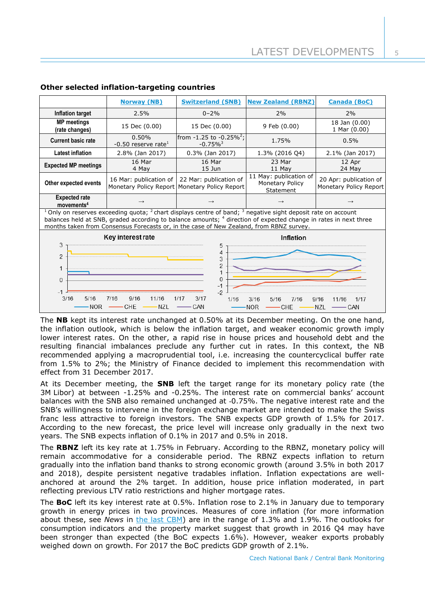|                                                                                                                                                                                                                                                                                                                                               | <b>Norway (NB)</b>              | <b>Switzerland (SNB)</b>                                                  | <b>New Zealand (RBNZ)</b>                              | <b>Canada (BoC)</b>                              |  |  |
|-----------------------------------------------------------------------------------------------------------------------------------------------------------------------------------------------------------------------------------------------------------------------------------------------------------------------------------------------|---------------------------------|---------------------------------------------------------------------------|--------------------------------------------------------|--------------------------------------------------|--|--|
| Inflation target                                                                                                                                                                                                                                                                                                                              | 2.5%                            | $0 - 2%$                                                                  | 2%                                                     | 2%                                               |  |  |
| <b>MP</b> meetings<br>(rate changes)                                                                                                                                                                                                                                                                                                          | 15 Dec (0.00)                   | 15 Dec (0.00)                                                             | 9 Feb (0.00)                                           | 18 Jan (0.00)<br>1 Mar (0.00)                    |  |  |
| <b>Current basic rate</b>                                                                                                                                                                                                                                                                                                                     | 0.50%<br>-0.50 reserve rate $1$ | from -1.25 to -0.25% <sup>2</sup> ;<br>$-0.75\%$ <sup>3</sup>             | 1.75%                                                  | 0.5%                                             |  |  |
| <b>Latest inflation</b>                                                                                                                                                                                                                                                                                                                       | 2.8% (Jan 2017)                 | $0.3\%$ (Jan 2017)                                                        | 1.3% (2016 Q4)                                         | 2.1% (Jan 2017)                                  |  |  |
| <b>Expected MP meetings</b>                                                                                                                                                                                                                                                                                                                   | 16 Mar<br>4 May                 | 16 Mar<br>$15$ Jun                                                        | 23 Mar<br>11 May                                       | 12 Apr<br>24 May                                 |  |  |
| Other expected events                                                                                                                                                                                                                                                                                                                         | 16 Mar: publication of          | 22 Mar: publication of<br>Monetary Policy Report   Monetary Policy Report | 11 May: publication of<br>Monetary Policy<br>Statement | 20 Apr: publication of<br>Monetary Policy Report |  |  |
| <b>Expected rate</b><br>moverents <sup>4</sup>                                                                                                                                                                                                                                                                                                |                                 |                                                                           |                                                        |                                                  |  |  |
| $1$ Only on reserves exceeding quota; $2$ chart displays centre of band; $3$ negative sight deposit rate on account<br>balances held at SNB, graded according to balance amounts; <sup>4</sup> direction of expected change in rates in next three<br>months taken from Consensus Forecasts or, in the case of New Zealand, from RBNZ survey. |                                 |                                                                           |                                                        |                                                  |  |  |
| Key interest rate<br>Inflation                                                                                                                                                                                                                                                                                                                |                                 |                                                                           |                                                        |                                                  |  |  |
| 3<br>5<br>4<br>$\overline{2}$<br>3<br>$\overline{2}$<br>1<br>$\Omega$<br>$\Omega$<br>$-1$<br>$-2$<br>3/16<br>3/17<br>5/16<br>7/16<br>9/16<br>11/16<br>1/17<br>1/16<br>3/16<br>9/16<br>1/17<br>5/16<br>7/16<br>11/16<br>CHE<br><b>NOR</b><br>NZL<br>CAN<br>NOR<br><b>NZL</b><br>CHE<br>– CAN                                                   |                                 |                                                                           |                                                        |                                                  |  |  |

## **Other selected inflation-targeting countries**

The **NB** kept its interest rate unchanged at 0.50% at its December meeting. On the one hand, the inflation outlook, which is below the inflation target, and weaker economic growth imply lower interest rates. On the other, a rapid rise in house prices and household debt and the resulting financial imbalances preclude any further cut in rates. In this context, the NB recommended applying a macroprudential tool, i.e. increasing the countercyclical buffer rate from 1.5% to 2%; the Ministry of Finance decided to implement this recommendation with effect from 31 December 2017.

At its December meeting, the **SNB** left the target range for its monetary policy rate (the 3M Libor) at between -1.25% and -0.25%. The interest rate on commercial banks' account balances with the SNB also remained unchanged at -0.75%. The negative interest rate and the SNB's willingness to intervene in the foreign exchange market are intended to make the Swiss franc less attractive to foreign investors. The SNB expects GDP growth of 1.5% for 2017. According to the new forecast, the price level will increase only gradually in the next two years. The SNB expects inflation of 0.1% in 2017 and 0.5% in 2018.

The **RBNZ** left its key rate at 1.75% in February. According to the RBNZ, monetary policy will remain accommodative for a considerable period. The RBNZ expects inflation to return gradually into the inflation band thanks to strong economic growth (around 3.5% in both 2017 and 2018), despite persistent negative tradables inflation. Inflation expectations are wellanchored at around the 2% target. In addition, house price inflation moderated, in part reflecting previous LTV ratio restrictions and higher mortgage rates.

The **BoC** left its key interest rate at 0.5%. Inflation rose to 2.1% in January due to temporary growth in energy prices in two provinces. Measures of core inflation (for more information about these, see *News* in [the last CBM\)](http://www.cnb.cz/miranda2/export/sites/www.cnb.cz/en/monetary_policy/monitoring/download/1604_cbm.pdf) are in the range of 1.3% and 1.9%. The outlooks for consumption indicators and the property market suggest that growth in 2016 Q4 may have been stronger than expected (the BoC expects 1.6%). However, weaker exports probably weighed down on growth. For 2017 the BoC predicts GDP growth of 2.1%.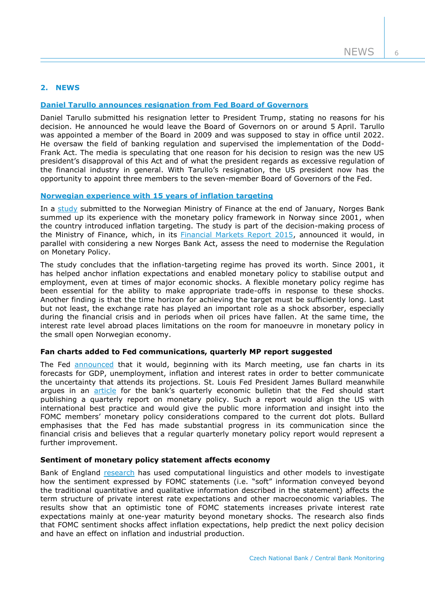# **2. NEWS**

## **Daniel Tarullo announces [resignation from Fed Board of Governors](https://www.federalreserve.gov/newsevents/press/other/20170210a.htm)**

Daniel Tarullo submitted his resignation letter to President Trump, stating no reasons for his decision. He announced he would leave the Board of Governors on or around 5 April. Tarullo was appointed a member of the Board in 2009 and was supposed to stay in office until 2022. He oversaw the field of banking regulation and supervised the implementation of the Dodd-Frank Act. The media is speculating that one reason for his decision to resign was the new US president's disapproval of this Act and of what the president regards as excessive regulation of the financial industry in general. With Tarullo's resignation, the US president now has the opportunity to appoint three members to the seven-member Board of Governors of the Fed.

#### **[Norwegian experience with 15 years of inflation targeting](http://www.norges-bank.no/en/Published/News-archive/2017/2017-01-31-Experience/)**

In a [study](http://static.norges-bank.no/pages/106235/NB_Papers_1_2017.pdf?v=1/31/201732616PM&ft=.pdf) submitted to the Norwegian Ministry of Finance at the end of January, Norges Bank summed up its experience with the monetary policy framework in Norway since 2001, when the country introduced inflation targeting. The study is part of the decision-making process of the Ministry of Finance, which, in its [Financial Markets Report 2015,](https://www.regjeringen.no/en/aktuelt/financial-markets-report-2015/id2511545/) announced it would, in parallel with considering a new Norges Bank Act, assess the need to modernise the Regulation on Monetary Policy.

The study concludes that the inflation-targeting regime has proved its worth. Since 2001, it has helped anchor inflation expectations and enabled monetary policy to stabilise output and employment, even at times of major economic shocks. A flexible monetary policy regime has been essential for the ability to make appropriate trade-offs in response to these shocks. Another finding is that the time horizon for achieving the target must be sufficiently long. Last but not least, the exchange rate has played an important role as a shock absorber, especially during the financial crisis and in periods when oil prices have fallen. At the same time, the interest rate level abroad places limitations on the room for manoeuvre in monetary policy in the small open Norwegian economy.

#### **Fan charts added to Fed communications, quarterly MP report suggested**

The Fed [announced](https://www.federalreserve.gov/newsevents/press/monetary/20170303a.htm) that it would, beginning with its March meeting, use fan charts in its forecasts for GDP, unemployment, inflation and interest rates in order to better communicate the uncertainty that attends its projections. St. Louis Fed President James Bullard meanwhile argues in an [article](https://www.stlouisfed.org/publications/regional-economist/first_quarter_2017/the-policy-rule-debate-a-simpler-solution) for the bank's quarterly economic bulletin that the Fed should start publishing a quarterly report on monetary policy. Such a report would align the US with international best practice and would give the public more information and insight into the FOMC members' monetary policy considerations compared to the current dot plots. Bullard emphasises that the Fed has made substantial progress in its communication since the financial crisis and believes that a regular quarterly monetary policy report would represent a further improvement.

#### **Sentiment of monetary policy statement affects economy**

Bank of England [research](http://www.bankofengland.co.uk/research/Pages/workingpapers/2017/swp648.aspx) has used computational linguistics and other models to investigate how the sentiment expressed by FOMC statements (i.e. "soft" information conveyed beyond the traditional quantitative and qualitative information described in the statement) affects the term structure of private interest rate expectations and other macroeconomic variables. The results show that an optimistic tone of FOMC statements increases private interest rate expectations mainly at one-year maturity beyond monetary shocks. The research also finds that FOMC sentiment shocks affect inflation expectations, help predict the next policy decision and have an effect on inflation and industrial production.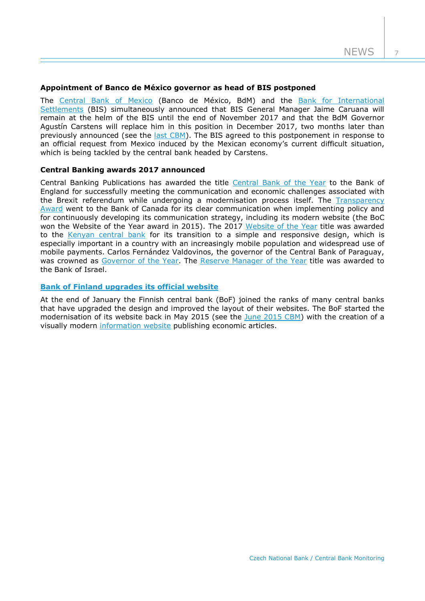#### **Appointment of Banco de México governor as head of BIS postponed**

The [Central Bank of Mexico](http://www.banxico.org.mx/informacion-para-la-prensa/comunicados/miscelaneos/boletines/%7BE71033C5-312D-D275-A436-BDBF898AA815%7D.pdf) (Banco de México, BdM) and the Bank for International [Settlements](http://www.bis.org/press/p170221.htm) (BIS) simultaneously announced that BIS General Manager Jaime Caruana will remain at the helm of the BIS until the end of November 2017 and that the BdM Governor Agustín Carstens will replace him in this position in December 2017, two months later than previously announced (see the *last CBM*). The BIS agreed to this postponement in response to an official request from Mexico induced by the Mexican economy's current difficult situation, which is being tackled by the central bank headed by Carstens.

#### **Central Banking awards 2017 announced**

Central Banking Publications has awarded the title [Central Bank of the Year](http://www.centralbanking.com/central-banking-journal/feature/2481625/central-bank-of-the-year-bank-of-england) to the Bank of England for successfully meeting the communication and economic challenges associated with the Brexit referendum while undergoing a modernisation process itself. The [Transparency](http://www.centralbanking.com/central-banking-journal/feature/2480656/transparency-bank-of-canada)  [Award](http://www.centralbanking.com/central-banking-journal/feature/2480656/transparency-bank-of-canada) went to the Bank of Canada for its clear communication when implementing policy and for continuously developing its communication strategy, including its modern website (the BoC won the Website of the Year award in 2015). The 2017 [Website of the Year](http://www.centralbanking.com/central-banking-journal/feature/2479778/website-of-the-year-central-bank-of-kenya) title was awarded to the [Kenyan central bank](https://www.centralbank.go.ke/) for its transition to a simple and responsive design, which is especially important in a country with an increasingly mobile population and widespread use of mobile payments. Carlos Fernández Valdovinos, the governor of the Central Bank of Paraguay, was crowned as [Governor of the Year.](http://www.centralbanking.com/central-banking-journal/feature/2481435/central-bank-governor-of-the-year-carlos-fern-ndez-valdovinos) The [Reserve Manager of the Year](http://www.centralbanking.com/central-banking-journal/feature/2480682/reserve-manager-of-the-year-bank-of-israel) title was awarded to the Bank of Israel.

## **Bank of Finland upgrades [its official website](https://www.suomenpankki.fi/en/media-and-publications/news/2017/bank-of-finland-launches-new-website/)**

At the end of January the Finnish central bank (BoF) joined the ranks of many central banks that have upgraded the design and improved the layout of their websites. The BoF started the modernisation of its website back in May 2015 (see the [June 2015 CBM\)](http://www.cnb.cz/miranda2/export/sites/www.cnb.cz/en/monetary_policy/monitoring/download/1502_cbm.pdf) with the creation of a visually modern [information website](http://www.bofbulletin.fi/en/home/) publishing economic articles.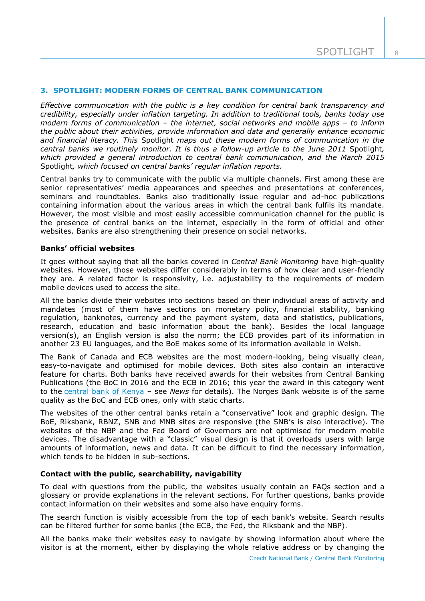## **3. SPOTLIGHT: MODERN FORMS OF CENTRAL BANK COMMUNICATION**

*Effective communication with the public is a key condition for central bank transparency and credibility, especially under inflation targeting. In addition to traditional tools, banks today use modern forms of communication – the internet, social networks and mobile apps – to inform the public about their activities, provide information and data and generally enhance economic and financial literacy. This* Spotlight *maps out these modern forms of communication in the central banks we routinely monitor. It is thus a follow-up article to the June 2011* Spotlight*, which provided a general introduction to central bank communication, and the March 2015*  Spotlight*, which focused on central banks' regular inflation reports.*

Central banks try to communicate with the public via multiple channels. First among these are senior representatives' media appearances and speeches and presentations at conferences, seminars and roundtables. Banks also traditionally issue regular and ad-hoc publications containing information about the various areas in which the central bank fulfils its mandate. However, the most visible and most easily accessible communication channel for the public is the presence of central banks on the internet, especially in the form of official and other websites. Banks are also strengthening their presence on social networks.

#### **Banks' official websites**

It goes without saying that all the banks covered in *Central Bank Monitoring* have high-quality websites. However, those websites differ considerably in terms of how clear and user-friendly they are. A related factor is responsivity, i.e. adjustability to the requirements of modern mobile devices used to access the site.

All the banks divide their websites into sections based on their individual areas of activity and mandates (most of them have sections on monetary policy, financial stability, banking regulation, banknotes, currency and the payment system, data and statistics, publications, research, education and basic information about the bank). Besides the local language version(s), an English version is also the norm; the ECB provides part of its information in another 23 EU languages, and the BoE makes some of its information available in Welsh.

The Bank of Canada and ECB websites are the most modern-looking, being visually clean, easy-to-navigate and optimised for mobile devices. Both sites also contain an interactive feature for charts. Both banks have received awards for their websites from Central Banking Publications (the BoC in 2016 and the ECB in 2016; this year the award in this category went to the [central bank of Kenya](https://www.centralbank.go.ke/) – see *News* for details). The Norges Bank website is of the same quality as the BoC and ECB ones, only with static charts.

The websites of the other central banks retain a "conservative" look and graphic design. The BoE, Riksbank, RBNZ, SNB and MNB sites are responsive (the SNB's is also interactive). The websites of the NBP and the Fed Board of Governors are not optimised for modern mobile devices. The disadvantage with a "classic" visual design is that it overloads users with large amounts of information, news and data. It can be difficult to find the necessary information, which tends to be hidden in sub-sections.

## **Contact with the public, searchability, navigability**

To deal with questions from the public, the websites usually contain an FAQs section and a glossary or provide explanations in the relevant sections. For further questions, banks provide contact information on their websites and some also have enquiry forms.

The search function is visibly accessible from the top of each bank's website. Search results can be filtered further for some banks (the ECB, the Fed, the Riksbank and the NBP).

All the banks make their websites easy to navigate by showing information about where the visitor is at the moment, either by displaying the whole relative address or by changing the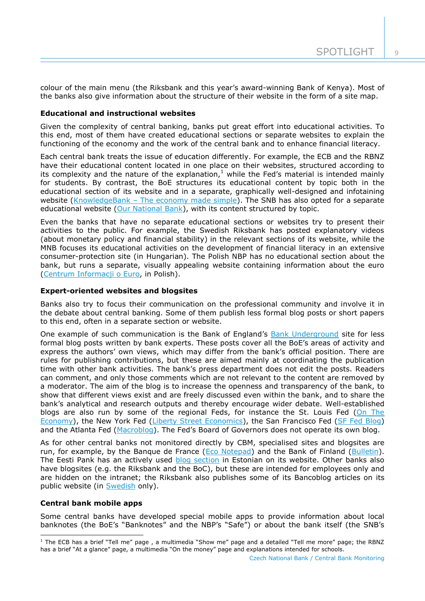colour of the main menu (the Riksbank and this year's award-winning Bank of Kenya). Most of the banks also give information about the structure of their website in the form of a site map.

## **Educational and instructional websites**

Given the complexity of central banking, banks put great effort into educational activities. To this end, most of them have created educational sections or separate websites to explain the functioning of the economy and the work of the central bank and to enhance financial literacy.

Each central bank treats the issue of education differently. For example, the ECB and the RBNZ have their educational content located in one place on their websites, structured according to its complexity and the nature of the explanation, $<sup>1</sup>$  while the Fed's material is intended mainly</sup> for students. By contrast, the BoE structures its educational content by topic both in the educational section of its website and in a separate, graphically well-designed and infotaining website (KnowledgeBank – [The economy made simple\)](http://edu.bankofengland.co.uk/knowledgebank/). The SNB has also opted for a separate educational website [\(Our National Bank\)](http://our.snb.ch/en/), with its content structured by topic.

Even the banks that have no separate educational sections or websites try to present their activities to the public. For example, the Swedish Riksbank has posted explanatory videos (about monetary policy and financial stability) in the relevant sections of its website, while the MNB focuses its educational activities on the development of financial literacy in an extensive consumer-protection site (in Hungarian). The Polish NBP has no educational section about the bank, but runs a separate, visually appealing website containing information about the euro [\(Centrum Informacji o Euro,](https://euro.nbp.pl/home) in Polish).

## **Expert-oriented websites and blogsites**

Banks also try to focus their communication on the professional community and involve it in the debate about central banking. Some of them publish less formal blog posts or short papers to this end, often in a separate section or website.

One example of such communication is the Bank of England's [Bank Underground](http://bankunderground.co.uk/) site for less formal blog posts written by bank experts. These posts cover all the BoE's areas of activity and express the authors' own views, which may differ from the bank's official position. There are rules for publishing contributions, but these are aimed mainly at coordinating the publication time with other bank activities. The bank's press department does not edit the posts. Readers can comment, and only those comments which are not relevant to the content are removed by a moderator. The aim of the blog is to increase the openness and transparency of the bank, to show that different views exist and are freely discussed even within the bank, and to share the bank's analytical and research outputs and thereby encourage wider debate. Well-established blogs are also run by some of the regional Feds, for instance the St. Louis Fed (On The [Economy\)](https://www.stlouisfed.org/on-the-economy), the New York Fed [\(Liberty Street Economics\)](http://libertystreeteconomics.newyorkfed.org/), the San Francisco Fed [\(SF Fed Blog\)](http://www.frbsf.org/our-district/about/sf-fed-blog/) and the Atlanta Fed [\(Macroblog](http://macroblog.typepad.com/)). The Fed's Board of Governors does not operate its own blog.

As for other central banks not monitored directly by CBM, specialised sites and blogsites are run, for example, by the Banque de France [\(Eco Notepad\)](https://blocnotesdeleco.banque-france.fr/en) and the Bank of Finland [\(Bulletin\)](http://www.bofbulletin.fi/en/home/). The Eesti Pank has an actively used [blog section](http://www.eestipank.ee/blogi) in Estonian on its website. Other banks also have blogsites (e.g. the Riksbank and the BoC), but these are intended for employees only and are hidden on the intranet; the Riksbank also publishes some of its Bancoblog articles on its public website (in [Swedish](http://www.riksbank.se/sv/Sedlar--mynt/Sedlar/Bakom-pengakulisserna/) only).

## **Central bank mobile apps**

-

Some central banks have developed special mobile apps to provide information about local banknotes (the BoE's "Banknotes" and the NBP's "Safe") or about the bank itself (the SNB's

 $1$  The ECB has a brief "Tell me" page, a multimedia "Show me" page and a detailed "Tell me more" page; the RBNZ has a brief "At a glance" page, a multimedia "On the money" page and explanations intended for schools.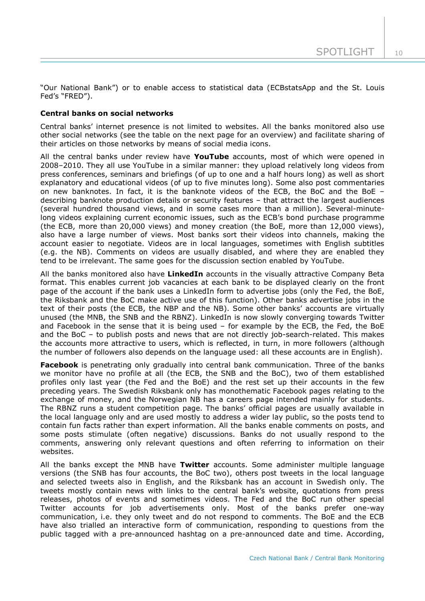"Our National Bank") or to enable access to statistical data (ECBstatsApp and the St. Louis Fed's "FRED").

## **Central banks on social networks**

Central banks' internet presence is not limited to websites. All the banks monitored also use other social networks (see the table on the next page for an overview) and facilitate sharing of their articles on those networks by means of social media icons.

All the central banks under review have **YouTube** accounts, most of which were opened in 2008–2010. They all use YouTube in a similar manner: they upload relatively long videos from press conferences, seminars and briefings (of up to one and a half hours long) as well as short explanatory and educational videos (of up to five minutes long). Some also post commentaries on new banknotes. In fact, it is the banknote videos of the ECB, the BoC and the BoE – describing banknote production details or security features – that attract the largest audiences (several hundred thousand views, and in some cases more than a million). Several-minutelong videos explaining current economic issues, such as the ECB's bond purchase programme (the ECB, more than 20,000 views) and money creation (the BoE, more than 12,000 views), also have a large number of views. Most banks sort their videos into channels, making the account easier to negotiate. Videos are in local languages, sometimes with English subtitles (e.g. the NB). Comments on videos are usually disabled, and where they are enabled they tend to be irrelevant. The same goes for the discussion section enabled by YouTube.

All the banks monitored also have **LinkedIn** accounts in the visually attractive Company Beta format. This enables current job vacancies at each bank to be displayed clearly on the front page of the account if the bank uses a LinkedIn form to advertise jobs (only the Fed, the BoE, the Riksbank and the BoC make active use of this function). Other banks advertise jobs in the text of their posts (the ECB, the NBP and the NB). Some other banks' accounts are virtually unused (the MNB, the SNB and the RBNZ). LinkedIn is now slowly converging towards Twitter and Facebook in the sense that it is being used – for example by the ECB, the Fed, the BoE and the BoC – to publish posts and news that are not directly job-search-related. This makes the accounts more attractive to users, which is reflected, in turn, in more followers (although the number of followers also depends on the language used: all these accounts are in English).

**Facebook** is penetrating only gradually into central bank communication. Three of the banks we monitor have no profile at all (the ECB, the SNB and the BoC), two of them established profiles only last year (the Fed and the BoE) and the rest set up their accounts in the few preceding years. The Swedish Riksbank only has monothematic Facebook pages relating to the exchange of money, and the Norwegian NB has a careers page intended mainly for students. The RBNZ runs a student competition page. The banks' official pages are usually available in the local language only and are used mostly to address a wider lay public, so the posts tend to contain fun facts rather than expert information. All the banks enable comments on posts, and some posts stimulate (often negative) discussions. Banks do not usually respond to the comments, answering only relevant questions and often referring to information on their websites.

All the banks except the MNB have **Twitter** accounts. Some administer multiple language versions (the SNB has four accounts, the BoC two), others post tweets in the local language and selected tweets also in English, and the Riksbank has an account in Swedish only. The tweets mostly contain news with links to the central bank's website, quotations from press releases, photos of events and sometimes videos. The Fed and the BoC run other special Twitter accounts for job advertisements only. Most of the banks prefer one-way communication, i.e. they only tweet and do not respond to comments. The BoE and the ECB have also trialled an interactive form of communication, responding to questions from the public tagged with a pre-announced hashtag on a pre-announced date and time. According,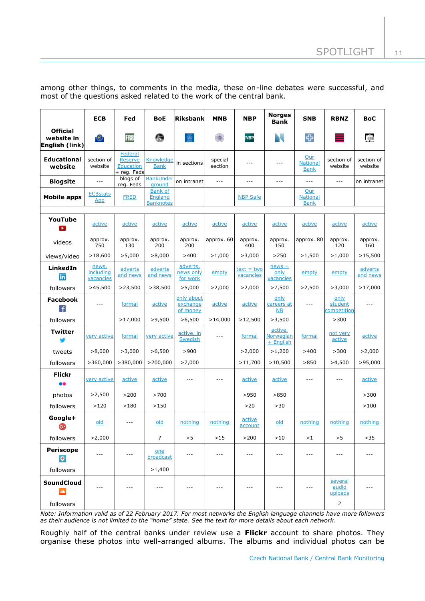among other things, to comments in the media, these on-line debates were successful, and most of the questions asked related to the work of the central bank.

|                                                 | <b>ECB</b>                      | Fed                                                   | <b>BoE</b>                                           | Riksbank                           | <b>MNB</b>         | <b>NBP</b>                | <b>Norges</b><br><b>Bank</b>      | <b>SNB</b>                            | <b>RBNZ</b>                           | <b>BoC</b>            |
|-------------------------------------------------|---------------------------------|-------------------------------------------------------|------------------------------------------------------|------------------------------------|--------------------|---------------------------|-----------------------------------|---------------------------------------|---------------------------------------|-----------------------|
| <b>Official</b><br>website in<br>English (link) | $\epsilon$                      | <b>FRB</b>                                            | G                                                    |                                    | 瀐                  | NBP                       | N.                                |                                       | ≡                                     | 卹                     |
| <b>Educational</b><br>website                   | section of<br>website           | Federal<br>Reserve<br><b>Education</b><br>+ reg. Feds | <b>Knowledge</b><br><b>Bank</b>                      | in sections                        | special<br>section | ---                       | $---$                             | Our<br><b>National</b><br><b>Bank</b> | section of<br>website                 | section of<br>website |
| <b>Blogsite</b>                                 | $\overline{a}$                  | blogs of<br>reg. Feds                                 | <b>BankUnder</b><br>around                           | on intranet                        | $\sim$             | $---$                     | $---$                             | $-$                                   | $\frac{1}{2}$                         | on intranet           |
| <b>Mobile apps</b>                              | <b>ECBstats</b><br>App          | <b>FRED</b>                                           | <b>Bank of</b><br><b>England</b><br><b>Banknotes</b> |                                    |                    | <b>NBP Safe</b>           |                                   | Our<br><b>National</b><br><b>Bank</b> |                                       |                       |
| YouTube<br>$\mathbf{p}$                         | active                          | active                                                | active                                               | active                             | active             | active                    | active                            | active                                | active                                | active                |
| videos                                          | approx.<br>750                  | approx.<br>130                                        | approx.<br>200                                       | approx.<br>200                     | approx. 60         | approx.<br>400            | approx.<br>150                    | approx. 80                            | approx.<br>120                        | approx.<br>160        |
| views/video                                     | >18,600                         | >5,000                                                | >8,000                                               | >400                               | >1,000             | >3,000                    | >250                              | >1,500                                | >1,000                                | >15,500               |
| LinkedIn<br>in.                                 | news,<br>including<br>vacancies | adverts<br>and news                                   | adverts<br>and news                                  | adverts,<br>news only<br>for work  | empty              | $text = two$<br>vacancies | $news =$<br>only<br>vacancies     | empty                                 | empty                                 | adverts<br>and news   |
| followers                                       | >45,500                         | >23,500                                               | >38,500                                              | >5,000                             | >2,000             | >2,000                    | >7,500                            | >2,500                                | >3,000                                | >17,000               |
| <b>Facebook</b><br>Ŧ                            | $---$                           | formal                                                | active                                               | only about<br>exchange<br>of money | active             | active                    | only<br>careers at<br>NB          | $- - -$                               | only<br>student<br><u>competition</u> | $---$                 |
| followers                                       |                                 | >17,000                                               | >9,500                                               | >6,500                             | >14,000            | >12,500                   | >3,500                            |                                       | >300                                  |                       |
| <b>Twitter</b>                                  | very active                     | formal                                                | very active                                          | active, in<br>Swedish              | $- - -$            | formal                    | active,<br>Norwegian<br>+ English | formal                                | not very<br>active                    | active                |
| tweets                                          | >8,000                          | >3,000                                                | >6,500                                               | >900                               |                    | >2,000                    | >1,200                            | >400                                  | >300                                  | >2,000                |
| followers                                       | >360,000                        | >380,000                                              | >200,000                                             | >7,000                             |                    | >11,700                   | >10,500                           | >850                                  | >4,500                                | >95,000               |
| <b>Flickr</b>                                   | very active                     | active                                                | active                                               | ---                                | $---$              | active                    | active                            | $---$                                 | $---$                                 | active                |
| photos                                          | >2,500                          | >200                                                  | >700                                                 |                                    |                    | >950                      | >850                              |                                       |                                       | >300                  |
| followers                                       | >120                            | >180                                                  | >150                                                 |                                    |                    | >20                       | >30                               |                                       |                                       | >100                  |
| Google+<br>☞                                    | old                             | $- - -$                                               | old                                                  | nothing                            | nothing            | active<br>account         | old                               | nothing                               | nothing                               | nothing               |
| followers                                       | >2,000                          |                                                       | $\overline{?}$                                       | >5                                 | $>15$              | >200                      | >10                               | >1                                    | >5                                    | $>35$                 |
| Periscope<br>$\bullet$                          | $- - -$                         | $---$                                                 | one<br>broadcast                                     | ---                                | $\cdots$           | ---                       | $---$                             | $- - -$                               | $---$                                 | $\cdots$              |
| followers                                       |                                 |                                                       | >1,400                                               |                                    |                    |                           |                                   |                                       |                                       |                       |
| SoundCloud<br>dh                                |                                 | $- - -$                                               | $- - -$                                              | $- - -$                            | $- - -$            | $---$                     | $---$                             | $- - -$                               | several<br>audio<br>uploads           | $- - -$               |
| followers                                       |                                 |                                                       |                                                      |                                    |                    |                           |                                   |                                       | $\mathbf{2}$                          |                       |

*Note: Information valid as of 22 February 2017. For most networks the English language channels have more followers as their audience is not limited to the "home" state. See the text for more details about each network.* 

Roughly half of the central banks under review use a **Flickr** account to share photos. They organise these photos into well-arranged albums. The albums and individual photos can be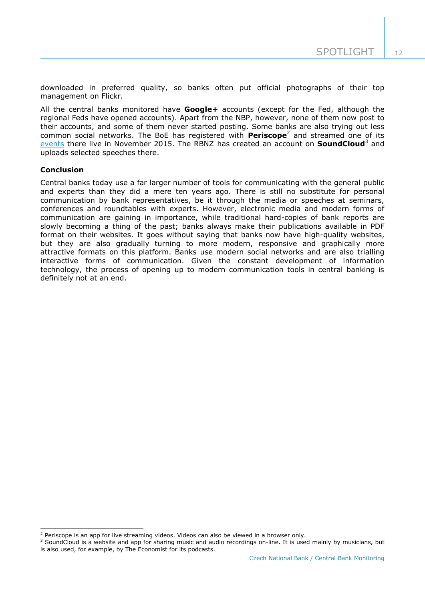downloaded in preferred quality, so banks often put official photographs of their top management on Flickr.

All the central banks monitored have **Google+** accounts (except for the Fed, although the regional Feds have opened accounts). Apart from the NBP, however, none of them now post to their accounts, and some of them never started posting. Some banks are also trying out less common social networks. The BoE has registered with **Periscope**<sup>2</sup> and streamed one of its [events](http://www.bankofengland.co.uk/Pages/openforum/index.aspx) there live in November 2015. The RBNZ has created an account on **SoundCloud**<sup>3</sup> and uploads selected speeches there.

## **Conclusion**

-

Central banks today use a far larger number of tools for communicating with the general public and experts than they did a mere ten years ago. There is still no substitute for personal communication by bank representatives, be it through the media or speeches at seminars, conferences and roundtables with experts. However, electronic media and modern forms of communication are gaining in importance, while traditional hard-copies of bank reports are slowly becoming a thing of the past; banks always make their publications available in PDF format on their websites. It goes without saying that banks now have high-quality websites, but they are also gradually turning to more modern, responsive and graphically more attractive formats on this platform. Banks use modern social networks and are also trialling interactive forms of communication. Given the constant development of information technology, the process of opening up to modern communication tools in central banking is definitely not at an end.

 $<sup>2</sup>$  Periscope is an app for live streaming videos. Videos can also be viewed in a browser only.</sup>

 $3$  SoundCloud is a website and app for sharing music and audio recordings on-line. It is used mainly by musicians, but is also used, for example, by The Economist for its podcasts.